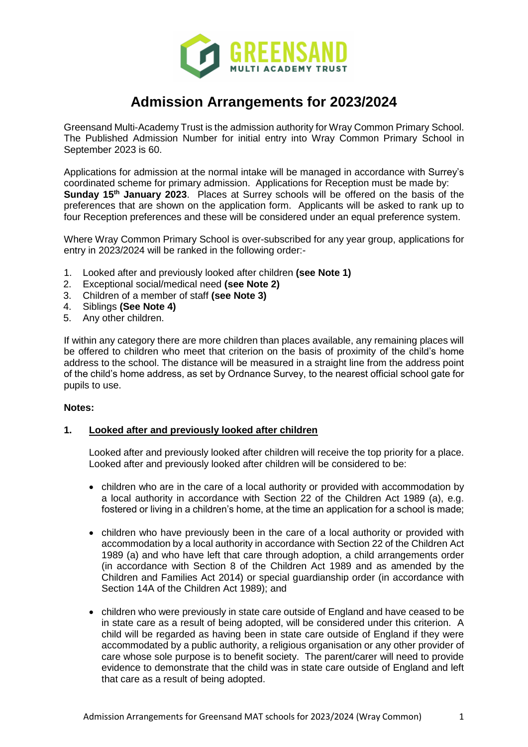

# **Admission Arrangements for 2023/2024**

Greensand Multi-Academy Trust is the admission authority for Wray Common Primary School. The Published Admission Number for initial entry into Wray Common Primary School in September 2023 is 60.

Applications for admission at the normal intake will be managed in accordance with Surrey's coordinated scheme for primary admission. Applications for Reception must be made by: **Sunday 15th January 2023**. Places at Surrey schools will be offered on the basis of the preferences that are shown on the application form. Applicants will be asked to rank up to four Reception preferences and these will be considered under an equal preference system.

Where Wray Common Primary School is over-subscribed for any year group, applications for entry in 2023/2024 will be ranked in the following order:-

- 1. Looked after and previously looked after children **(see Note 1)**
- 2. Exceptional social/medical need **(see Note 2)**
- 3. Children of a member of staff **(see Note 3)**
- 4. Siblings **(See Note 4)**
- 5. Any other children.

If within any category there are more children than places available, any remaining places will be offered to children who meet that criterion on the basis of proximity of the child's home address to the school. The distance will be measured in a straight line from the address point of the child's home address, as set by Ordnance Survey, to the nearest official school gate for pupils to use.

#### **Notes:**

# **1. Looked after and previously looked after children**

Looked after and previously looked after children will receive the top priority for a place. Looked after and previously looked after children will be considered to be:

- children who are in the care of a local authority or provided with accommodation by a local authority in accordance with Section 22 of the Children Act 1989 (a), e.g. fostered or living in a children's home, at the time an application for a school is made;
- children who have previously been in the care of a local authority or provided with accommodation by a local authority in accordance with Section 22 of the Children Act 1989 (a) and who have left that care through adoption, a child arrangements order (in accordance with Section 8 of the Children Act 1989 and as amended by the Children and Families Act 2014) or special guardianship order (in accordance with Section 14A of the Children Act 1989); and
- children who were previously in state care outside of England and have ceased to be in state care as a result of being adopted, will be considered under this criterion. A child will be regarded as having been in state care outside of England if they were accommodated by a public authority, a religious organisation or any other provider of care whose sole purpose is to benefit society. The parent/carer will need to provide evidence to demonstrate that the child was in state care outside of England and left that care as a result of being adopted.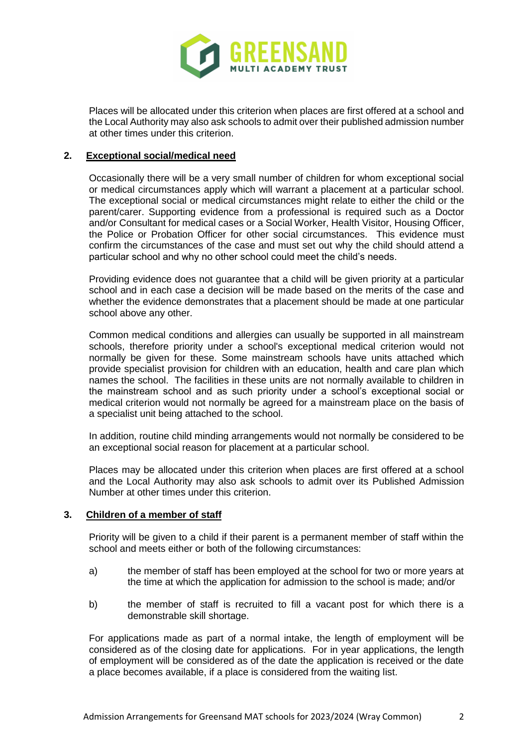

Places will be allocated under this criterion when places are first offered at a school and the Local Authority may also ask schools to admit over their published admission number at other times under this criterion.

#### **2. Exceptional social/medical need**

Occasionally there will be a very small number of children for whom exceptional social or medical circumstances apply which will warrant a placement at a particular school. The exceptional social or medical circumstances might relate to either the child or the parent/carer. Supporting evidence from a professional is required such as a Doctor and/or Consultant for medical cases or a Social Worker, Health Visitor, Housing Officer, the Police or Probation Officer for other social circumstances. This evidence must confirm the circumstances of the case and must set out why the child should attend a particular school and why no other school could meet the child's needs.

Providing evidence does not guarantee that a child will be given priority at a particular school and in each case a decision will be made based on the merits of the case and whether the evidence demonstrates that a placement should be made at one particular school above any other.

Common medical conditions and allergies can usually be supported in all mainstream schools, therefore priority under a school's exceptional medical criterion would not normally be given for these. Some mainstream schools have units attached which provide specialist provision for children with an education, health and care plan which names the school. The facilities in these units are not normally available to children in the mainstream school and as such priority under a school's exceptional social or medical criterion would not normally be agreed for a mainstream place on the basis of a specialist unit being attached to the school.

In addition, routine child minding arrangements would not normally be considered to be an exceptional social reason for placement at a particular school.

Places may be allocated under this criterion when places are first offered at a school and the Local Authority may also ask schools to admit over its Published Admission Number at other times under this criterion.

#### **3. Children of a member of staff**

Priority will be given to a child if their parent is a permanent member of staff within the school and meets either or both of the following circumstances:

- a) the member of staff has been employed at the school for two or more years at the time at which the application for admission to the school is made; and/or
- b) the member of staff is recruited to fill a vacant post for which there is a demonstrable skill shortage.

For applications made as part of a normal intake, the length of employment will be considered as of the closing date for applications. For in year applications, the length of employment will be considered as of the date the application is received or the date a place becomes available, if a place is considered from the waiting list.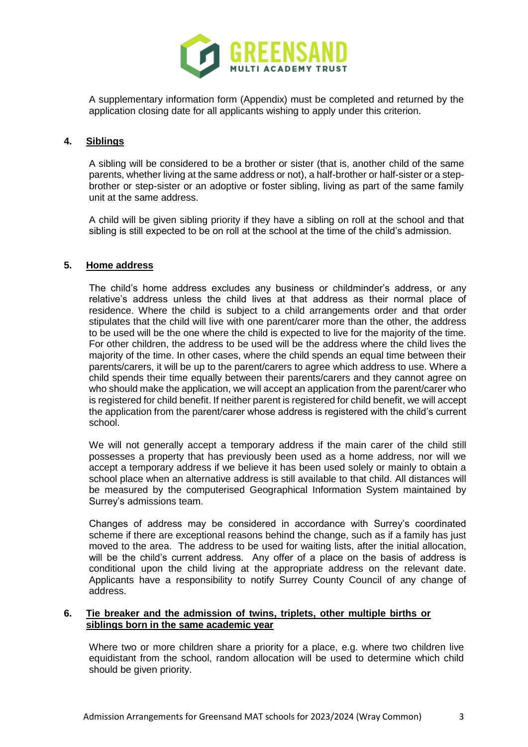

A supplementary information form (Appendix) must be completed and returned by the application closing date for all applicants wishing to apply under this criterion.

# **4. Siblings**

A sibling will be considered to be a brother or sister (that is, another child of the same parents, whether living at the same address or not), a half-brother or half-sister or a stepbrother or step-sister or an adoptive or foster sibling, living as part of the same family unit at the same address.

A child will be given sibling priority if they have a sibling on roll at the school and that sibling is still expected to be on roll at the school at the time of the child's admission.

## **5. Home address**

The child's home address excludes any business or childminder's address, or any relative's address unless the child lives at that address as their normal place of residence. Where the child is subject to a child arrangements order and that order stipulates that the child will live with one parent/carer more than the other, the address to be used will be the one where the child is expected to live for the majority of the time. For other children, the address to be used will be the address where the child lives the majority of the time. In other cases, where the child spends an equal time between their parents/carers, it will be up to the parent/carers to agree which address to use. Where a child spends their time equally between their parents/carers and they cannot agree on who should make the application, we will accept an application from the parent/carer who is registered for child benefit. If neither parent is registered for child benefit, we will accept the application from the parent/carer whose address is registered with the child's current school.

We will not generally accept a temporary address if the main carer of the child still possesses a property that has previously been used as a home address, nor will we accept a temporary address if we believe it has been used solely or mainly to obtain a school place when an alternative address is still available to that child. All distances will be measured by the computerised Geographical Information System maintained by Surrey's admissions team.

Changes of address may be considered in accordance with Surrey's coordinated scheme if there are exceptional reasons behind the change, such as if a family has just moved to the area. The address to be used for waiting lists, after the initial allocation, will be the child's current address. Any offer of a place on the basis of address is conditional upon the child living at the appropriate address on the relevant date. Applicants have a responsibility to notify Surrey County Council of any change of address.

## **6. Tie breaker and the admission of twins, triplets, other multiple births or siblings born in the same academic year**

Where two or more children share a priority for a place, e.g. where two children live equidistant from the school, random allocation will be used to determine which child should be given priority.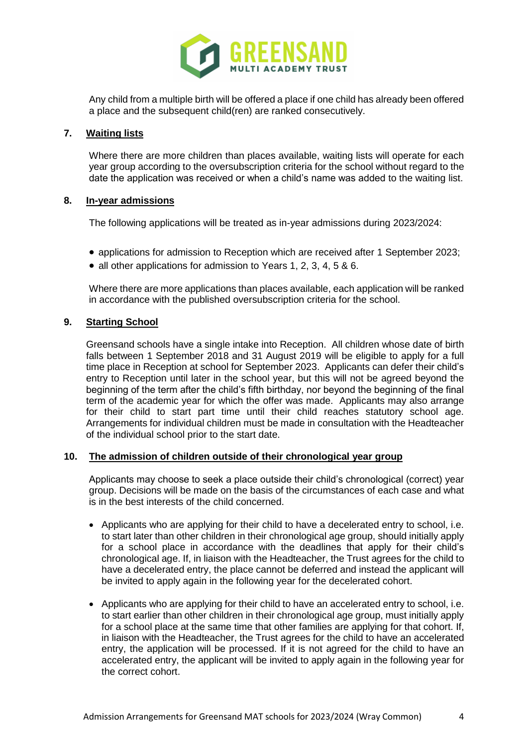

Any child from a multiple birth will be offered a place if one child has already been offered a place and the subsequent child(ren) are ranked consecutively.

# **7. Waiting lists**

Where there are more children than places available, waiting lists will operate for each year group according to the oversubscription criteria for the school without regard to the date the application was received or when a child's name was added to the waiting list.

## **8. In-year admissions**

The following applications will be treated as in-year admissions during 2023/2024:

- applications for admission to Reception which are received after 1 September 2023;
- all other applications for admission to Years 1, 2, 3, 4, 5 & 6.

Where there are more applications than places available, each application will be ranked in accordance with the published oversubscription criteria for the school.

## **9. Starting School**

Greensand schools have a single intake into Reception. All children whose date of birth falls between 1 September 2018 and 31 August 2019 will be eligible to apply for a full time place in Reception at school for September 2023. Applicants can defer their child's entry to Reception until later in the school year, but this will not be agreed beyond the beginning of the term after the child's fifth birthday, nor beyond the beginning of the final term of the academic year for which the offer was made. Applicants may also arrange for their child to start part time until their child reaches statutory school age. Arrangements for individual children must be made in consultation with the Headteacher of the individual school prior to the start date.

#### **10. The admission of children outside of their chronological year group**

Applicants may choose to seek a place outside their child's chronological (correct) year group. Decisions will be made on the basis of the circumstances of each case and what is in the best interests of the child concerned.

- Applicants who are applying for their child to have a decelerated entry to school, i.e. to start later than other children in their chronological age group, should initially apply for a school place in accordance with the deadlines that apply for their child's chronological age. If, in liaison with the Headteacher, the Trust agrees for the child to have a decelerated entry, the place cannot be deferred and instead the applicant will be invited to apply again in the following year for the decelerated cohort.
- Applicants who are applying for their child to have an accelerated entry to school, i.e. to start earlier than other children in their chronological age group, must initially apply for a school place at the same time that other families are applying for that cohort. If, in liaison with the Headteacher, the Trust agrees for the child to have an accelerated entry, the application will be processed. If it is not agreed for the child to have an accelerated entry, the applicant will be invited to apply again in the following year for the correct cohort.